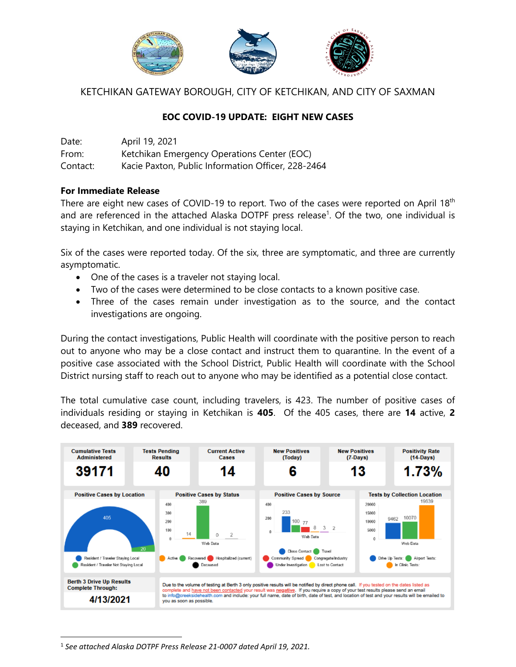

KETCHIKAN GATEWAY BOROUGH, CITY OF KETCHIKAN, AND CITY OF SAXMAN

## **EOC COVID-19 UPDATE: EIGHT NEW CASES**

Date: April 19, 2021 From: Ketchikan Emergency Operations Center (EOC) Contact: Kacie Paxton, Public Information Officer, 228-2464

## **For Immediate Release**

There are eight new cases of COVID-19 to report. Two of the cases were reported on April 18<sup>th</sup> and are referenced in the attached Alaska DOTPF press release<sup>1</sup>. Of the two, one individual is staying in Ketchikan, and one individual is not staying local.

Six of the cases were reported today. Of the six, three are symptomatic, and three are currently asymptomatic.

- One of the cases is a traveler not staying local.
- Two of the cases were determined to be close contacts to a known positive case.
- Three of the cases remain under investigation as to the source, and the contact investigations are ongoing.

During the contact investigations, Public Health will coordinate with the positive person to reach out to anyone who may be a close contact and instruct them to quarantine. In the event of a positive case associated with the School District, Public Health will coordinate with the School District nursing staff to reach out to anyone who may be identified as a potential close contact.

The total cumulative case count, including travelers, is 423. The number of positive cases of individuals residing or staying in Ketchikan is **405**. Of the 405 cases, there are **14** active, **2** deceased, and **389** recovered.



 $\overline{a}$ <sup>1</sup> See attached Alaska DOTPF Press Release 21-0007 dated April 19, 2021.